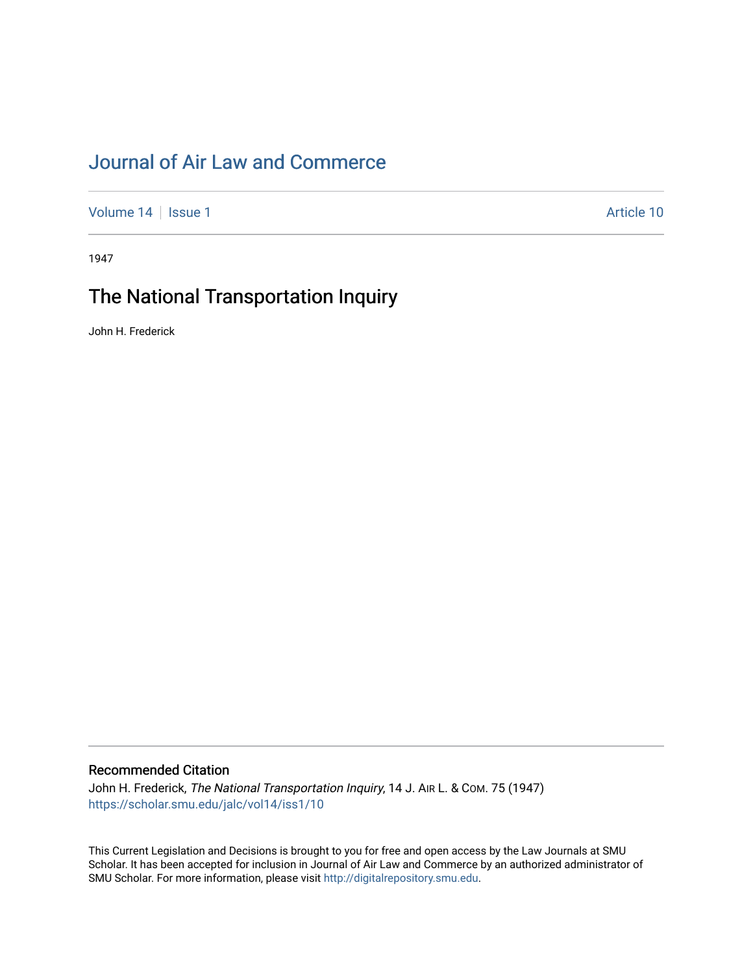# [Journal of Air Law and Commerce](https://scholar.smu.edu/jalc)

[Volume 14](https://scholar.smu.edu/jalc/vol14) | [Issue 1](https://scholar.smu.edu/jalc/vol14/iss1) Article 10

1947

## The National Transportation Inquiry

John H. Frederick

### Recommended Citation

John H. Frederick, The National Transportation Inquiry, 14 J. AIR L. & Com. 75 (1947) [https://scholar.smu.edu/jalc/vol14/iss1/10](https://scholar.smu.edu/jalc/vol14/iss1/10?utm_source=scholar.smu.edu%2Fjalc%2Fvol14%2Fiss1%2F10&utm_medium=PDF&utm_campaign=PDFCoverPages)

This Current Legislation and Decisions is brought to you for free and open access by the Law Journals at SMU Scholar. It has been accepted for inclusion in Journal of Air Law and Commerce by an authorized administrator of SMU Scholar. For more information, please visit [http://digitalrepository.smu.edu](http://digitalrepository.smu.edu/).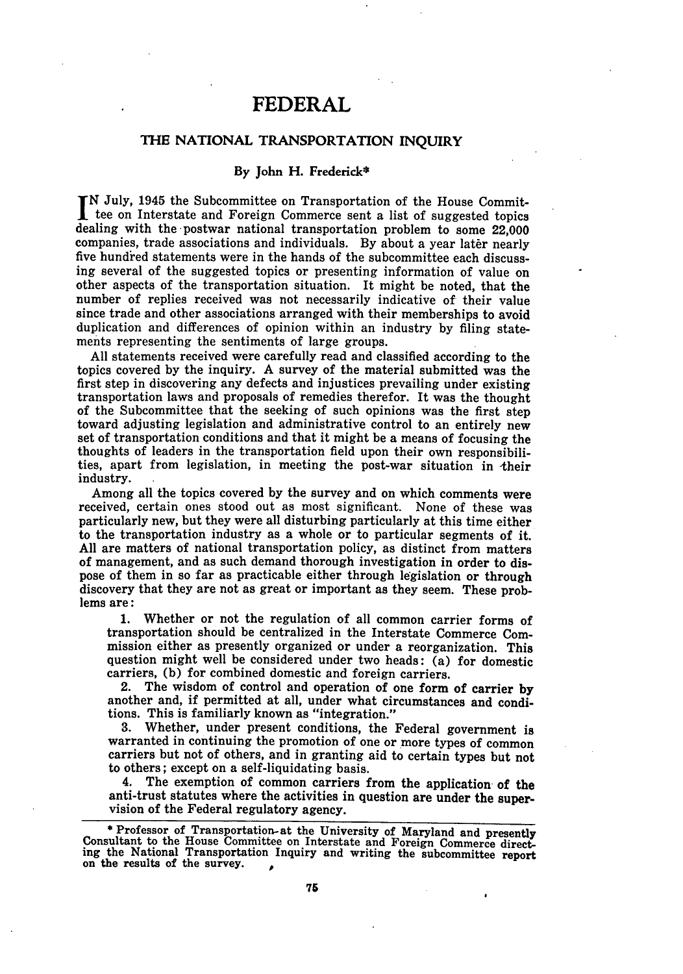## FEDERAL

### **THE NATIONAL TRANSPORTATION INQUIRY**

#### **By John H. Frederick\***

**N** July, 1945 the Subcommittee on Transportation of the House Committee on Interstate and Foreign Commerce sent a list of suggested topics dealing with the postwar national transportation problem to some 22,000 companies, trade associations and individuals. By about a year later nearly five hundred statements were in the hands of the subcommittee each discussing several of the suggested topics or presenting information of value on other aspects of the transportation situation. It might be noted, that the number of replies received was not necessarily indicative of their value since trade and other associations arranged with their memberships to avoid duplication and differences of opinion within an industry by filing statements representing the sentiments of large groups.

All statements received were carefully read and classified according to the topics covered by the inquiry. A survey of the material submitted was the first step in discovering any defects and injustices prevailing under existing transportation laws and proposals of remedies therefor. It was the thought of the Subcommittee that the seeking of such opinions was the first step toward adjusting legislation and administrative control to an entirely new set of transportation conditions and that it might be a means of focusing the thoughts of leaders in the transportation field upon their own responsibilities, apart from legislation, in meeting the post-war situation in their industry.

Among all the topics covered by the survey and on which comments were received, certain ones stood out as most significant. None of these was particularly new, but they were all disturbing particularly at this time either to the transportation industry as a whole or to particular segments of it. All are matters of national transportation policy, as distinct from matters of management, and as such demand thorough investigation in order to dispose of them in so far as practicable either through legislation or through discovery that they are not as great or important as they seem. These problems are:

1. Whether or not the regulation of all common carrier forms of transportation should be centralized in the Interstate Commerce Commission either as presently organized or under a reorganization. This question might well be considered under two heads: (a) for domestic carriers, (b) for combined domestic and foreign carriers.

2. The wisdom of control and operation of one form of carrier **by** another and, if permitted at all, under what circumstances and conditions. This is familiarly known as "integration."

3. Whether, under present conditions, the Federal government is warranted in continuing the promotion of one or more types of common carriers but not of others, and in granting aid to certain types but not to others; except on a self-liquidating basis.

4. The exemption of common carriers from the application of the anti-trust statutes where the activities in question are under the supervision of the Federal regulatory agency.

<sup>\*</sup> Professor of Transportation-at the University of Maxyland and presently Consultant to the House Committee on Interstate and Foreign Commerce directing the National Transportation Inquiry and writing the subcommittee report on the results of the survey. **0**